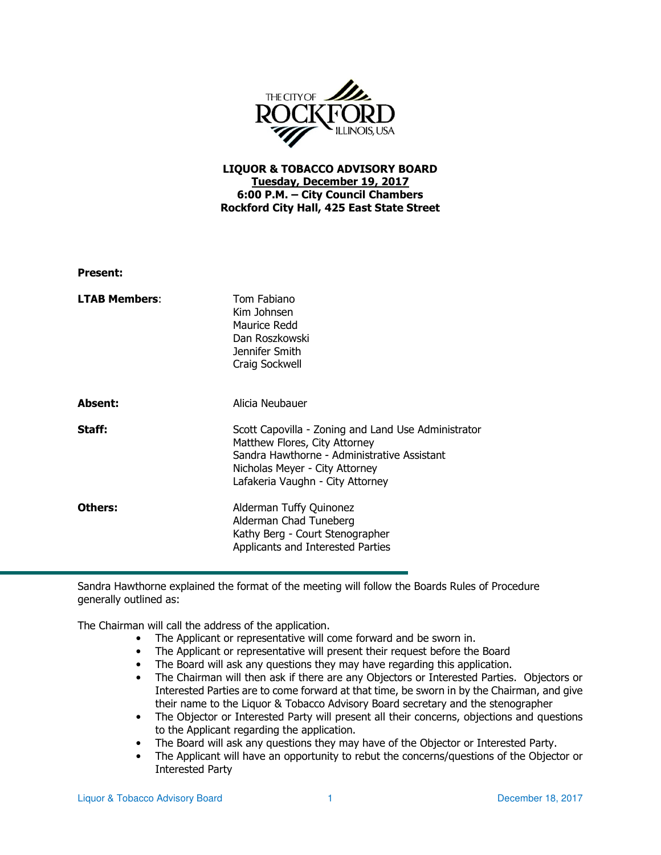

## LIQUOR & TOBACCO ADVISORY BOARD Tuesday, December 19, 2017 6:00 P.M. – City Council Chambers Rockford City Hall, 425 East State Street

| <b>Present:</b>      |                                                                                                                                                                                                           |
|----------------------|-----------------------------------------------------------------------------------------------------------------------------------------------------------------------------------------------------------|
| <b>LTAB Members:</b> | Tom Fabiano<br>Kim Johnsen<br>Maurice Redd<br>Dan Roszkowski<br>Jennifer Smith<br>Craig Sockwell                                                                                                          |
| <b>Absent:</b>       | Alicia Neubauer                                                                                                                                                                                           |
| Staff:               | Scott Capovilla - Zoning and Land Use Administrator<br>Matthew Flores, City Attorney<br>Sandra Hawthorne - Administrative Assistant<br>Nicholas Meyer - City Attorney<br>Lafakeria Vaughn - City Attorney |
| Others:              | Alderman Tuffy Quinonez<br>Alderman Chad Tuneberg<br>Kathy Berg - Court Stenographer<br>Applicants and Interested Parties                                                                                 |

Sandra Hawthorne explained the format of the meeting will follow the Boards Rules of Procedure generally outlined as:

The Chairman will call the address of the application.

- The Applicant or representative will come forward and be sworn in.
- The Applicant or representative will present their request before the Board
- The Board will ask any questions they may have regarding this application.
- The Chairman will then ask if there are any Objectors or Interested Parties. Objectors or Interested Parties are to come forward at that time, be sworn in by the Chairman, and give their name to the Liquor & Tobacco Advisory Board secretary and the stenographer
- The Objector or Interested Party will present all their concerns, objections and questions to the Applicant regarding the application.
- The Board will ask any questions they may have of the Objector or Interested Party.
- The Applicant will have an opportunity to rebut the concerns/questions of the Objector or Interested Party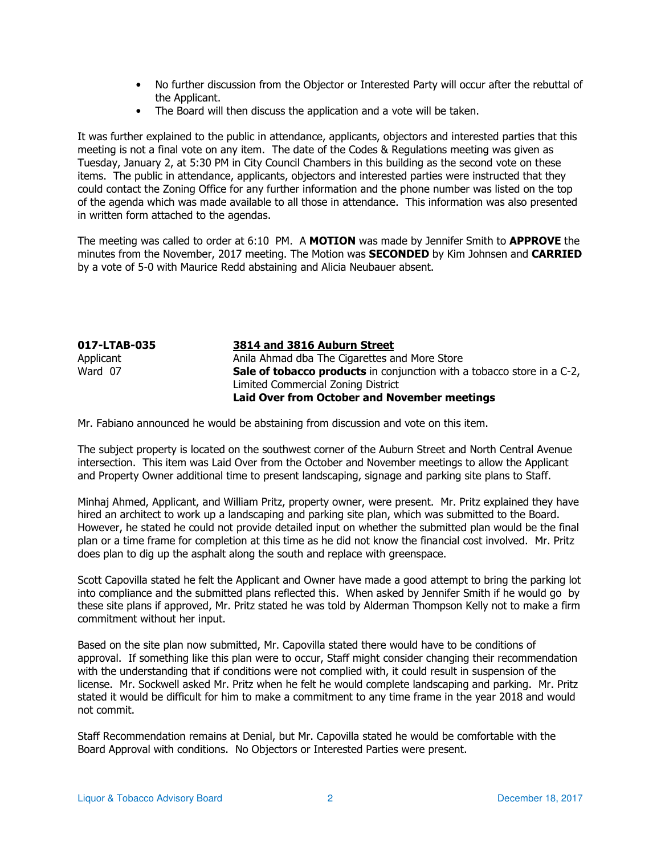- No further discussion from the Objector or Interested Party will occur after the rebuttal of the Applicant.
- The Board will then discuss the application and a vote will be taken.

It was further explained to the public in attendance, applicants, objectors and interested parties that this meeting is not a final vote on any item. The date of the Codes & Regulations meeting was given as Tuesday, January 2, at 5:30 PM in City Council Chambers in this building as the second vote on these items. The public in attendance, applicants, objectors and interested parties were instructed that they could contact the Zoning Office for any further information and the phone number was listed on the top of the agenda which was made available to all those in attendance. This information was also presented in written form attached to the agendas.

The meeting was called to order at 6:10 PM. A MOTION was made by Jennifer Smith to APPROVE the minutes from the November, 2017 meeting. The Motion was **SECONDED** by Kim Johnsen and **CARRIED** by a vote of 5-0 with Maurice Redd abstaining and Alicia Neubauer absent.

| 017-LTAB-035 | 3814 and 3816 Auburn Street                                                   |
|--------------|-------------------------------------------------------------------------------|
| Applicant    | Anila Ahmad dba The Cigarettes and More Store                                 |
| Ward 07      | <b>Sale of tobacco products</b> in conjunction with a tobacco store in a C-2, |
|              | Limited Commercial Zoning District                                            |
|              | Laid Over from October and November meetings                                  |

Mr. Fabiano announced he would be abstaining from discussion and vote on this item.

The subject property is located on the southwest corner of the Auburn Street and North Central Avenue intersection. This item was Laid Over from the October and November meetings to allow the Applicant and Property Owner additional time to present landscaping, signage and parking site plans to Staff.

Minhaj Ahmed, Applicant, and William Pritz, property owner, were present. Mr. Pritz explained they have hired an architect to work up a landscaping and parking site plan, which was submitted to the Board. However, he stated he could not provide detailed input on whether the submitted plan would be the final plan or a time frame for completion at this time as he did not know the financial cost involved. Mr. Pritz does plan to dig up the asphalt along the south and replace with greenspace.

Scott Capovilla stated he felt the Applicant and Owner have made a good attempt to bring the parking lot into compliance and the submitted plans reflected this. When asked by Jennifer Smith if he would go by these site plans if approved, Mr. Pritz stated he was told by Alderman Thompson Kelly not to make a firm commitment without her input.

Based on the site plan now submitted, Mr. Capovilla stated there would have to be conditions of approval. If something like this plan were to occur, Staff might consider changing their recommendation with the understanding that if conditions were not complied with, it could result in suspension of the license. Mr. Sockwell asked Mr. Pritz when he felt he would complete landscaping and parking. Mr. Pritz stated it would be difficult for him to make a commitment to any time frame in the year 2018 and would not commit.

Staff Recommendation remains at Denial, but Mr. Capovilla stated he would be comfortable with the Board Approval with conditions. No Objectors or Interested Parties were present.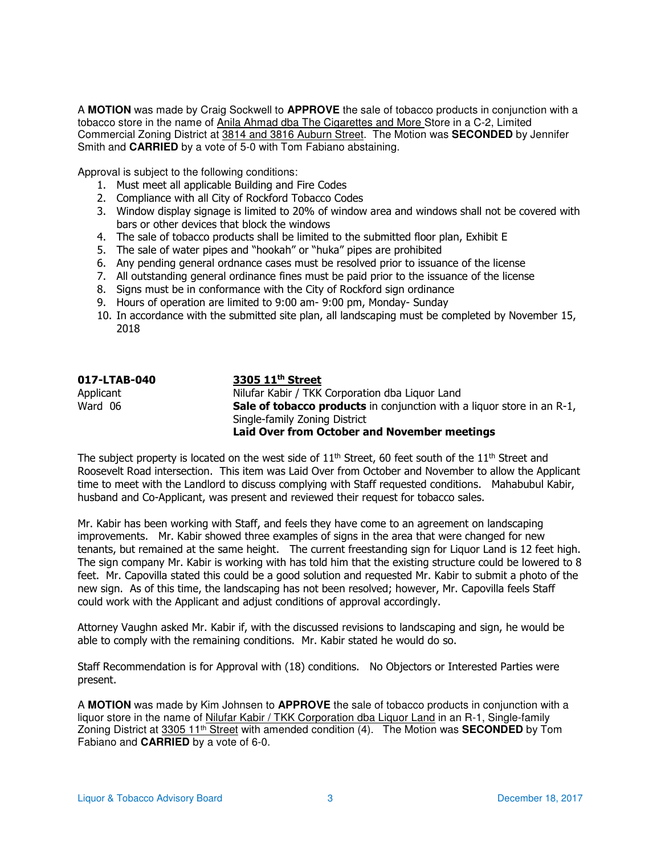A **MOTION** was made by Craig Sockwell to **APPROVE** the sale of tobacco products in conjunction with a tobacco store in the name of Anila Ahmad dba The Cigarettes and More Store in a C-2, Limited Commercial Zoning District at 3814 and 3816 Auburn Street. The Motion was **SECONDED** by Jennifer Smith and **CARRIED** by a vote of 5-0 with Tom Fabiano abstaining.

Approval is subject to the following conditions:

- 1. Must meet all applicable Building and Fire Codes
- 2. Compliance with all City of Rockford Tobacco Codes
- 3. Window display signage is limited to 20% of window area and windows shall not be covered with bars or other devices that block the windows
- 4. The sale of tobacco products shall be limited to the submitted floor plan, Exhibit E
- 5. The sale of water pipes and "hookah" or "huka" pipes are prohibited
- 6. Any pending general ordnance cases must be resolved prior to issuance of the license
- 7. All outstanding general ordinance fines must be paid prior to the issuance of the license
- 8. Signs must be in conformance with the City of Rockford sign ordinance
- 9. Hours of operation are limited to 9:00 am- 9:00 pm, Monday- Sunday
- 10. In accordance with the submitted site plan, all landscaping must be completed by November 15, 2018

| 017-LTAB-040 | 3305 11 <sup>th</sup> Street                                                  |
|--------------|-------------------------------------------------------------------------------|
| Applicant    | Nilufar Kabir / TKK Corporation dba Liquor Land                               |
| Ward 06      | <b>Sale of tobacco products</b> in conjunction with a liguor store in an R-1, |
|              | Single-family Zoning District                                                 |
|              | <b>Laid Over from October and November meetings</b>                           |

The subject property is located on the west side of  $11<sup>th</sup>$  Street, 60 feet south of the  $11<sup>th</sup>$  Street and Roosevelt Road intersection. This item was Laid Over from October and November to allow the Applicant time to meet with the Landlord to discuss complying with Staff requested conditions. Mahabubul Kabir, husband and Co-Applicant, was present and reviewed their request for tobacco sales.

Mr. Kabir has been working with Staff, and feels they have come to an agreement on landscaping improvements. Mr. Kabir showed three examples of signs in the area that were changed for new tenants, but remained at the same height. The current freestanding sign for Liquor Land is 12 feet high. The sign company Mr. Kabir is working with has told him that the existing structure could be lowered to 8 feet. Mr. Capovilla stated this could be a good solution and requested Mr. Kabir to submit a photo of the new sign. As of this time, the landscaping has not been resolved; however, Mr. Capovilla feels Staff could work with the Applicant and adjust conditions of approval accordingly.

Attorney Vaughn asked Mr. Kabir if, with the discussed revisions to landscaping and sign, he would be able to comply with the remaining conditions. Mr. Kabir stated he would do so.

Staff Recommendation is for Approval with (18) conditions. No Objectors or Interested Parties were present.

A **MOTION** was made by Kim Johnsen to **APPROVE** the sale of tobacco products in conjunction with a liquor store in the name of Nilufar Kabir / TKK Corporation dba Liquor Land in an R-1, Single-family Zoning District at 3305 11th Street with amended condition (4). The Motion was **SECONDED** by Tom Fabiano and **CARRIED** by a vote of 6-0.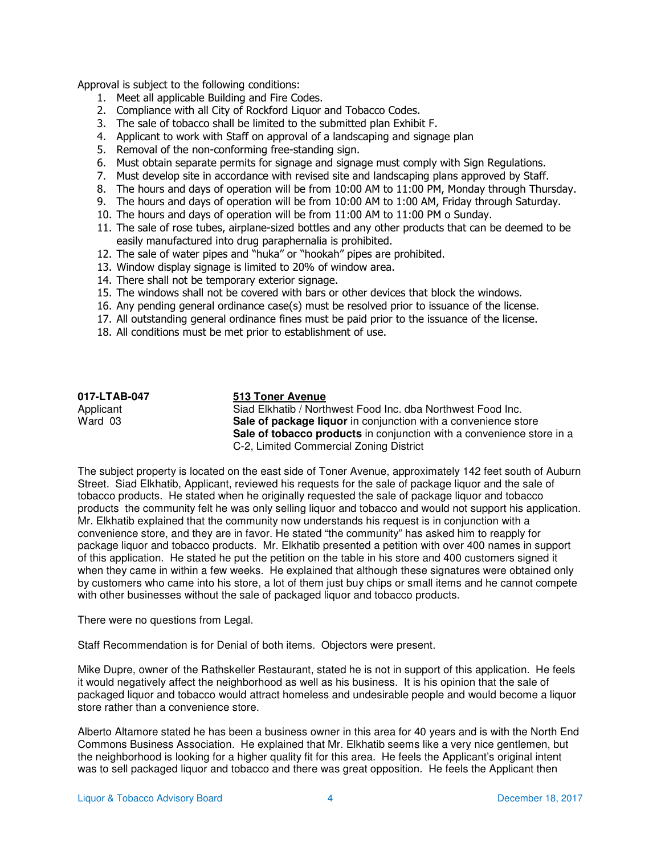Approval is subject to the following conditions:

- 1. Meet all applicable Building and Fire Codes.
- 2. Compliance with all City of Rockford Liquor and Tobacco Codes.
- 3. The sale of tobacco shall be limited to the submitted plan Exhibit F.
- 4. Applicant to work with Staff on approval of a landscaping and signage plan
- 5. Removal of the non-conforming free-standing sign.
- 6. Must obtain separate permits for signage and signage must comply with Sign Regulations.
- 7. Must develop site in accordance with revised site and landscaping plans approved by Staff.
- 8. The hours and days of operation will be from 10:00 AM to 11:00 PM, Monday through Thursday.
- 9. The hours and days of operation will be from 10:00 AM to 1:00 AM, Friday through Saturday.
- 10. The hours and days of operation will be from 11:00 AM to 11:00 PM o Sunday.
- 11. The sale of rose tubes, airplane-sized bottles and any other products that can be deemed to be easily manufactured into drug paraphernalia is prohibited.
- 12. The sale of water pipes and "huka" or "hookah" pipes are prohibited.
- 13. Window display signage is limited to 20% of window area.
- 14. There shall not be temporary exterior signage.
- 15. The windows shall not be covered with bars or other devices that block the windows.
- 16. Any pending general ordinance case(s) must be resolved prior to issuance of the license.
- 17. All outstanding general ordinance fines must be paid prior to the issuance of the license.
- 18. All conditions must be met prior to establishment of use.

| 017-LTAB-047 | 513 Toner Avenue                                                      |
|--------------|-----------------------------------------------------------------------|
| Applicant    | Siad Elkhatib / Northwest Food Inc. dba Northwest Food Inc.           |
| Ward 03      | Sale of package liquor in conjunction with a convenience store        |
|              | Sale of tobacco products in conjunction with a convenience store in a |
|              | C-2, Limited Commercial Zoning District                               |

The subject property is located on the east side of Toner Avenue, approximately 142 feet south of Auburn Street. Siad Elkhatib, Applicant, reviewed his requests for the sale of package liquor and the sale of tobacco products. He stated when he originally requested the sale of package liquor and tobacco products the community felt he was only selling liquor and tobacco and would not support his application. Mr. Elkhatib explained that the community now understands his request is in conjunction with a convenience store, and they are in favor. He stated "the community" has asked him to reapply for package liquor and tobacco products. Mr. Elkhatib presented a petition with over 400 names in support of this application. He stated he put the petition on the table in his store and 400 customers signed it when they came in within a few weeks. He explained that although these signatures were obtained only by customers who came into his store, a lot of them just buy chips or small items and he cannot compete with other businesses without the sale of packaged liquor and tobacco products.

There were no questions from Legal.

Staff Recommendation is for Denial of both items. Objectors were present.

Mike Dupre, owner of the Rathskeller Restaurant, stated he is not in support of this application. He feels it would negatively affect the neighborhood as well as his business. It is his opinion that the sale of packaged liquor and tobacco would attract homeless and undesirable people and would become a liquor store rather than a convenience store.

Alberto Altamore stated he has been a business owner in this area for 40 years and is with the North End Commons Business Association. He explained that Mr. Elkhatib seems like a very nice gentlemen, but the neighborhood is looking for a higher quality fit for this area. He feels the Applicant's original intent was to sell packaged liquor and tobacco and there was great opposition. He feels the Applicant then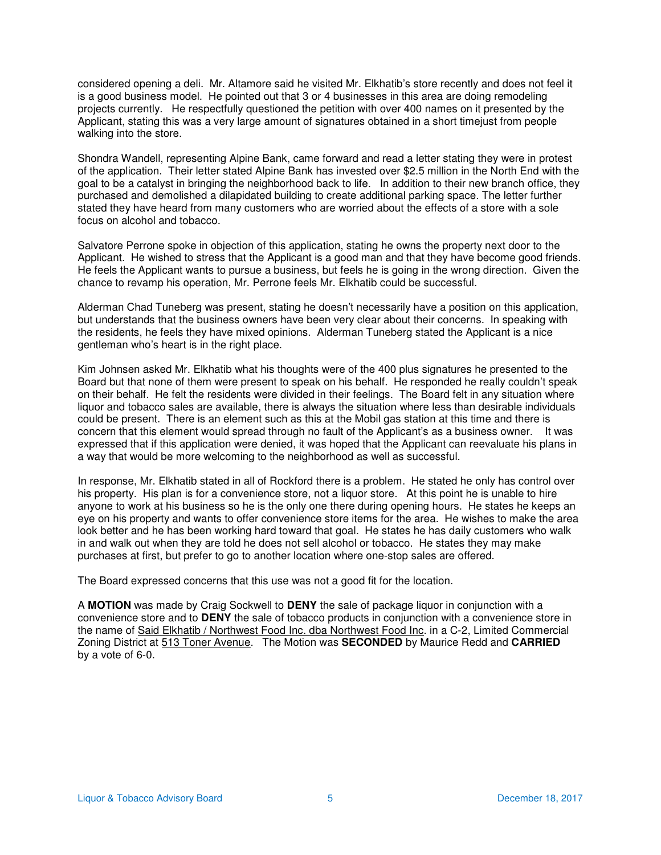considered opening a deli. Mr. Altamore said he visited Mr. Elkhatib's store recently and does not feel it is a good business model. He pointed out that 3 or 4 businesses in this area are doing remodeling projects currently. He respectfully questioned the petition with over 400 names on it presented by the Applicant, stating this was a very large amount of signatures obtained in a short timejust from people walking into the store.

Shondra Wandell, representing Alpine Bank, came forward and read a letter stating they were in protest of the application. Their letter stated Alpine Bank has invested over \$2.5 million in the North End with the goal to be a catalyst in bringing the neighborhood back to life. In addition to their new branch office, they purchased and demolished a dilapidated building to create additional parking space. The letter further stated they have heard from many customers who are worried about the effects of a store with a sole focus on alcohol and tobacco.

Salvatore Perrone spoke in objection of this application, stating he owns the property next door to the Applicant. He wished to stress that the Applicant is a good man and that they have become good friends. He feels the Applicant wants to pursue a business, but feels he is going in the wrong direction. Given the chance to revamp his operation, Mr. Perrone feels Mr. Elkhatib could be successful.

Alderman Chad Tuneberg was present, stating he doesn't necessarily have a position on this application, but understands that the business owners have been very clear about their concerns. In speaking with the residents, he feels they have mixed opinions. Alderman Tuneberg stated the Applicant is a nice gentleman who's heart is in the right place.

Kim Johnsen asked Mr. Elkhatib what his thoughts were of the 400 plus signatures he presented to the Board but that none of them were present to speak on his behalf. He responded he really couldn't speak on their behalf. He felt the residents were divided in their feelings. The Board felt in any situation where liquor and tobacco sales are available, there is always the situation where less than desirable individuals could be present. There is an element such as this at the Mobil gas station at this time and there is concern that this element would spread through no fault of the Applicant's as a business owner. It was expressed that if this application were denied, it was hoped that the Applicant can reevaluate his plans in a way that would be more welcoming to the neighborhood as well as successful.

In response, Mr. Elkhatib stated in all of Rockford there is a problem. He stated he only has control over his property. His plan is for a convenience store, not a liquor store. At this point he is unable to hire anyone to work at his business so he is the only one there during opening hours. He states he keeps an eye on his property and wants to offer convenience store items for the area. He wishes to make the area look better and he has been working hard toward that goal. He states he has daily customers who walk in and walk out when they are told he does not sell alcohol or tobacco. He states they may make purchases at first, but prefer to go to another location where one-stop sales are offered.

The Board expressed concerns that this use was not a good fit for the location.

A **MOTION** was made by Craig Sockwell to **DENY** the sale of package liquor in conjunction with a convenience store and to **DENY** the sale of tobacco products in conjunction with a convenience store in the name of Said Elkhatib / Northwest Food Inc. dba Northwest Food Inc. in a C-2, Limited Commercial Zoning District at 513 Toner Avenue. The Motion was **SECONDED** by Maurice Redd and **CARRIED** by a vote of 6-0.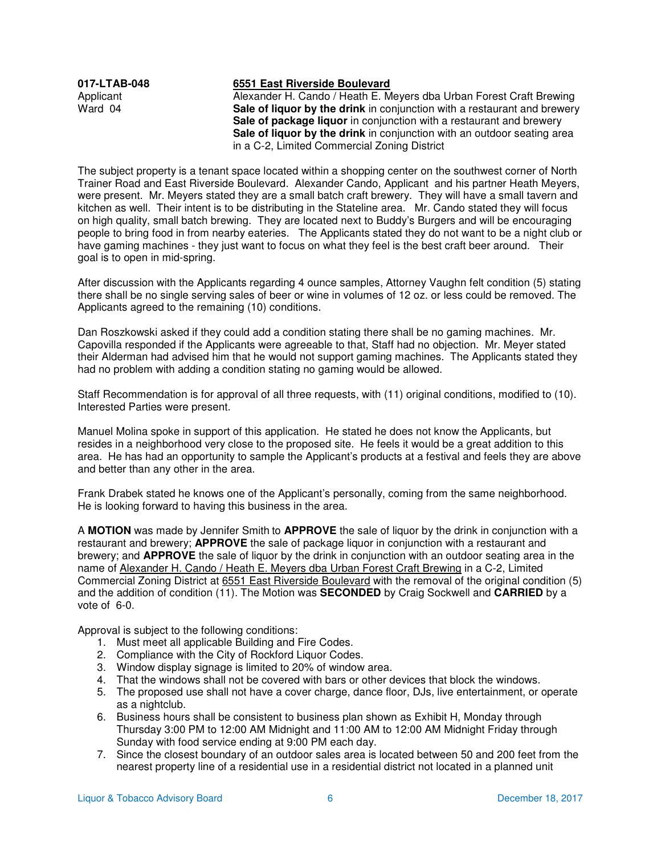## **017-LTAB-048 6551 East Riverside Boulevard**

Applicant Alexander H. Cando / Heath E. Meyers dba Urban Forest Craft Brewing<br>
Ward 04 **Sale of liquor by the drink** in conjunction with a restaurant and brewery **Sale of liquor by the drink** in conjunction with a restaurant and brewery Sale of package liquor in conjunction with a restaurant and brewery **Sale of liquor by the drink** in conjunction with an outdoor seating area in a C-2, Limited Commercial Zoning District

The subject property is a tenant space located within a shopping center on the southwest corner of North Trainer Road and East Riverside Boulevard. Alexander Cando, Applicant and his partner Heath Meyers, were present. Mr. Meyers stated they are a small batch craft brewery. They will have a small tavern and kitchen as well. Their intent is to be distributing in the Stateline area. Mr. Cando stated they will focus on high quality, small batch brewing. They are located next to Buddy's Burgers and will be encouraging people to bring food in from nearby eateries. The Applicants stated they do not want to be a night club or have gaming machines - they just want to focus on what they feel is the best craft beer around. Their goal is to open in mid-spring.

After discussion with the Applicants regarding 4 ounce samples, Attorney Vaughn felt condition (5) stating there shall be no single serving sales of beer or wine in volumes of 12 oz. or less could be removed. The Applicants agreed to the remaining (10) conditions.

Dan Roszkowski asked if they could add a condition stating there shall be no gaming machines. Mr. Capovilla responded if the Applicants were agreeable to that, Staff had no objection. Mr. Meyer stated their Alderman had advised him that he would not support gaming machines. The Applicants stated they had no problem with adding a condition stating no gaming would be allowed.

Staff Recommendation is for approval of all three requests, with (11) original conditions, modified to (10). Interested Parties were present.

Manuel Molina spoke in support of this application. He stated he does not know the Applicants, but resides in a neighborhood very close to the proposed site. He feels it would be a great addition to this area. He has had an opportunity to sample the Applicant's products at a festival and feels they are above and better than any other in the area.

Frank Drabek stated he knows one of the Applicant's personally, coming from the same neighborhood. He is looking forward to having this business in the area.

A **MOTION** was made by Jennifer Smith to **APPROVE** the sale of liquor by the drink in conjunction with a restaurant and brewery; **APPROVE** the sale of package liquor in conjunction with a restaurant and brewery; and **APPROVE** the sale of liquor by the drink in conjunction with an outdoor seating area in the name of Alexander H. Cando / Heath E. Meyers dba Urban Forest Craft Brewing in a C-2, Limited Commercial Zoning District at 6551 East Riverside Boulevard with the removal of the original condition (5) and the addition of condition (11). The Motion was **SECONDED** by Craig Sockwell and **CARRIED** by a vote of 6-0.

Approval is subject to the following conditions:

- 1. Must meet all applicable Building and Fire Codes.
- 2. Compliance with the City of Rockford Liquor Codes.
- 3. Window display signage is limited to 20% of window area.
- 4. That the windows shall not be covered with bars or other devices that block the windows.
- 5. The proposed use shall not have a cover charge, dance floor, DJs, live entertainment, or operate as a nightclub.
- 6. Business hours shall be consistent to business plan shown as Exhibit H, Monday through Thursday 3:00 PM to 12:00 AM Midnight and 11:00 AM to 12:00 AM Midnight Friday through Sunday with food service ending at 9:00 PM each day.
- 7. Since the closest boundary of an outdoor sales area is located between 50 and 200 feet from the nearest property line of a residential use in a residential district not located in a planned unit